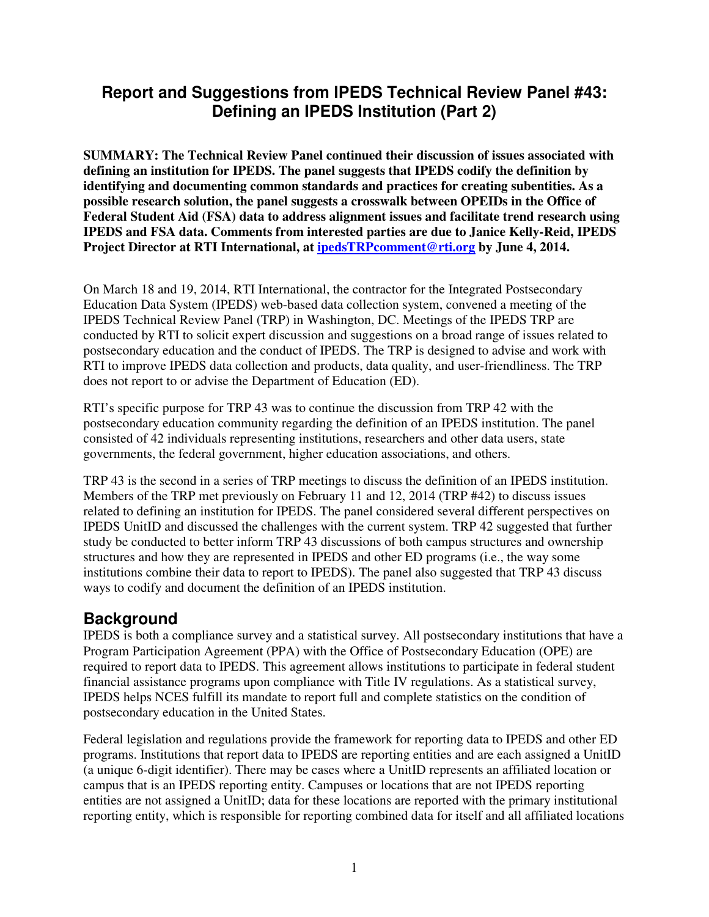# **Report and Suggestions from IPEDS Technical Review Panel #43: Defining an IPEDS Institution (Part 2)**

**SUMMARY: The Technical Review Panel continued their discussion of issues associated with defining an institution for IPEDS. The panel suggests that IPEDS codify the definition by identifying and documenting common standards and practices for creating subentities. As a possible research solution, the panel suggests a crosswalk between OPEIDs in the Office of Federal Student Aid (FSA) data to address alignment issues and facilitate trend research using IPEDS and FSA data. Comments from interested parties are due to Janice Kelly-Reid, IPEDS Project Director at RTI International, at ipedsTRPcomment@rti.org by June 4, 2014.** 

On March 18 and 19, 2014, RTI International, the contractor for the Integrated Postsecondary Education Data System (IPEDS) web-based data collection system, convened a meeting of the IPEDS Technical Review Panel (TRP) in Washington, DC. Meetings of the IPEDS TRP are conducted by RTI to solicit expert discussion and suggestions on a broad range of issues related to postsecondary education and the conduct of IPEDS. The TRP is designed to advise and work with RTI to improve IPEDS data collection and products, data quality, and user-friendliness. The TRP does not report to or advise the Department of Education (ED).

RTI's specific purpose for TRP 43 was to continue the discussion from TRP 42 with the postsecondary education community regarding the definition of an IPEDS institution. The panel consisted of 42 individuals representing institutions, researchers and other data users, state governments, the federal government, higher education associations, and others.

TRP 43 is the second in a series of TRP meetings to discuss the definition of an IPEDS institution. Members of the TRP met previously on February 11 and 12, 2014 (TRP #42) to discuss issues related to defining an institution for IPEDS. The panel considered several different perspectives on IPEDS UnitID and discussed the challenges with the current system. TRP 42 suggested that further study be conducted to better inform TRP 43 discussions of both campus structures and ownership structures and how they are represented in IPEDS and other ED programs (i.e., the way some institutions combine their data to report to IPEDS). The panel also suggested that TRP 43 discuss ways to codify and document the definition of an IPEDS institution.

## **Background**

IPEDS is both a compliance survey and a statistical survey. All postsecondary institutions that have a Program Participation Agreement (PPA) with the Office of Postsecondary Education (OPE) are required to report data to IPEDS. This agreement allows institutions to participate in federal student financial assistance programs upon compliance with Title IV regulations. As a statistical survey, IPEDS helps NCES fulfill its mandate to report full and complete statistics on the condition of postsecondary education in the United States.

Federal legislation and regulations provide the framework for reporting data to IPEDS and other ED programs. Institutions that report data to IPEDS are reporting entities and are each assigned a UnitID (a unique 6-digit identifier). There may be cases where a UnitID represents an affiliated location or campus that is an IPEDS reporting entity. Campuses or locations that are not IPEDS reporting entities are not assigned a UnitID; data for these locations are reported with the primary institutional reporting entity, which is responsible for reporting combined data for itself and all affiliated locations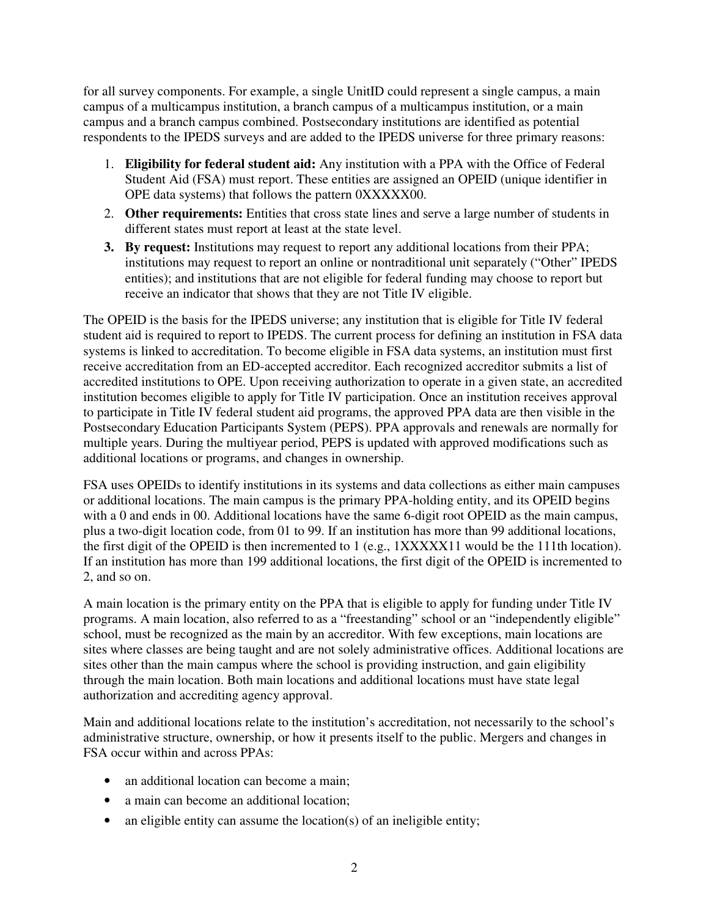for all survey components. For example, a single UnitID could represent a single campus, a main campus of a multicampus institution, a branch campus of a multicampus institution, or a main campus and a branch campus combined. Postsecondary institutions are identified as potential respondents to the IPEDS surveys and are added to the IPEDS universe for three primary reasons:

- 1. **Eligibility for federal student aid:** Any institution with a PPA with the Office of Federal Student Aid (FSA) must report. These entities are assigned an OPEID (unique identifier in OPE data systems) that follows the pattern 0XXXXX00.
- 2. **Other requirements:** Entities that cross state lines and serve a large number of students in different states must report at least at the state level.
- **3. By request:** Institutions may request to report any additional locations from their PPA; institutions may request to report an online or nontraditional unit separately ("Other" IPEDS entities); and institutions that are not eligible for federal funding may choose to report but receive an indicator that shows that they are not Title IV eligible.

The OPEID is the basis for the IPEDS universe; any institution that is eligible for Title IV federal student aid is required to report to IPEDS. The current process for defining an institution in FSA data systems is linked to accreditation. To become eligible in FSA data systems, an institution must first receive accreditation from an ED-accepted accreditor. Each recognized accreditor submits a list of accredited institutions to OPE. Upon receiving authorization to operate in a given state, an accredited institution becomes eligible to apply for Title IV participation. Once an institution receives approval to participate in Title IV federal student aid programs, the approved PPA data are then visible in the Postsecondary Education Participants System (PEPS). PPA approvals and renewals are normally for multiple years. During the multiyear period, PEPS is updated with approved modifications such as additional locations or programs, and changes in ownership.

FSA uses OPEIDs to identify institutions in its systems and data collections as either main campuses or additional locations. The main campus is the primary PPA-holding entity, and its OPEID begins with a 0 and ends in 00. Additional locations have the same 6-digit root OPEID as the main campus, plus a two-digit location code, from 01 to 99. If an institution has more than 99 additional locations, the first digit of the OPEID is then incremented to 1 (e.g.,  $1XXXXX1$  would be the 111th location). If an institution has more than 199 additional locations, the first digit of the OPEID is incremented to 2, and so on.

A main location is the primary entity on the PPA that is eligible to apply for funding under Title IV programs. A main location, also referred to as a "freestanding" school or an "independently eligible" school, must be recognized as the main by an accreditor. With few exceptions, main locations are sites where classes are being taught and are not solely administrative offices. Additional locations are sites other than the main campus where the school is providing instruction, and gain eligibility through the main location. Both main locations and additional locations must have state legal authorization and accrediting agency approval.

Main and additional locations relate to the institution's accreditation, not necessarily to the school's administrative structure, ownership, or how it presents itself to the public. Mergers and changes in FSA occur within and across PPAs:

- an additional location can become a main;
- a main can become an additional location;
- an eligible entity can assume the location(s) of an ineligible entity;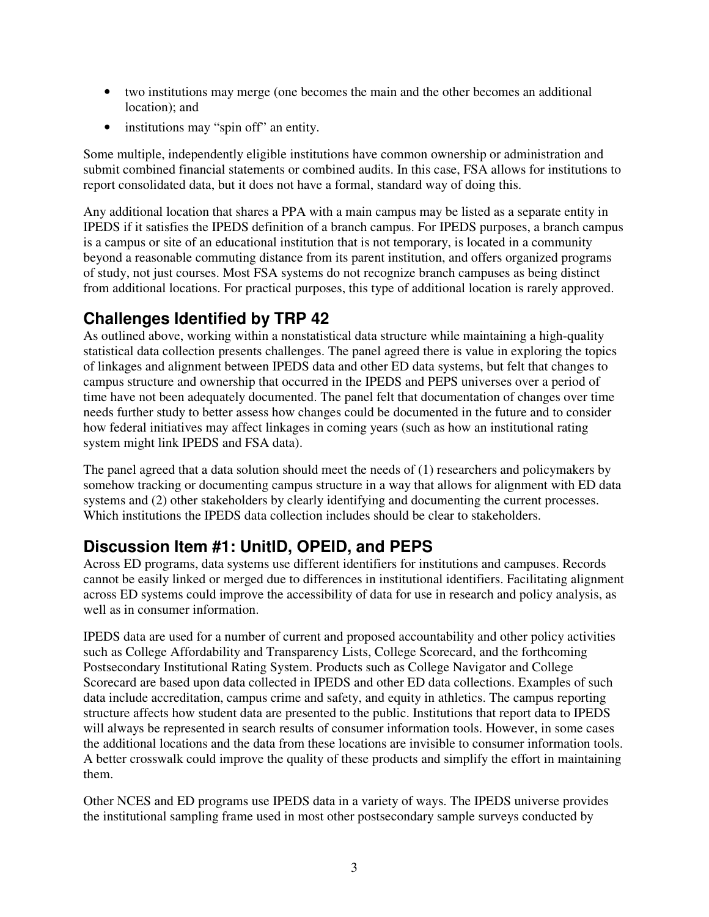- two institutions may merge (one becomes the main and the other becomes an additional location); and
- institutions may "spin off" an entity.

Some multiple, independently eligible institutions have common ownership or administration and submit combined financial statements or combined audits. In this case, FSA allows for institutions to report consolidated data, but it does not have a formal, standard way of doing this.

Any additional location that shares a PPA with a main campus may be listed as a separate entity in IPEDS if it satisfies the IPEDS definition of a branch campus. For IPEDS purposes, a branch campus is a campus or site of an educational institution that is not temporary, is located in a community beyond a reasonable commuting distance from its parent institution, and offers organized programs of study, not just courses. Most FSA systems do not recognize branch campuses as being distinct from additional locations. For practical purposes, this type of additional location is rarely approved.

# **Challenges Identified by TRP 42**

As outlined above, working within a nonstatistical data structure while maintaining a high-quality statistical data collection presents challenges. The panel agreed there is value in exploring the topics of linkages and alignment between IPEDS data and other ED data systems, but felt that changes to campus structure and ownership that occurred in the IPEDS and PEPS universes over a period of time have not been adequately documented. The panel felt that documentation of changes over time needs further study to better assess how changes could be documented in the future and to consider how federal initiatives may affect linkages in coming years (such as how an institutional rating system might link IPEDS and FSA data).

The panel agreed that a data solution should meet the needs of (1) researchers and policymakers by somehow tracking or documenting campus structure in a way that allows for alignment with ED data systems and (2) other stakeholders by clearly identifying and documenting the current processes. Which institutions the IPEDS data collection includes should be clear to stakeholders.

# **Discussion Item #1: UnitID, OPEID, and PEPS**

Across ED programs, data systems use different identifiers for institutions and campuses. Records cannot be easily linked or merged due to differences in institutional identifiers. Facilitating alignment across ED systems could improve the accessibility of data for use in research and policy analysis, as well as in consumer information.

IPEDS data are used for a number of current and proposed accountability and other policy activities such as College Affordability and Transparency Lists, College Scorecard, and the forthcoming Postsecondary Institutional Rating System. Products such as College Navigator and College Scorecard are based upon data collected in IPEDS and other ED data collections. Examples of such data include accreditation, campus crime and safety, and equity in athletics. The campus reporting structure affects how student data are presented to the public. Institutions that report data to IPEDS will always be represented in search results of consumer information tools. However, in some cases the additional locations and the data from these locations are invisible to consumer information tools. A better crosswalk could improve the quality of these products and simplify the effort in maintaining them.

Other NCES and ED programs use IPEDS data in a variety of ways. The IPEDS universe provides the institutional sampling frame used in most other postsecondary sample surveys conducted by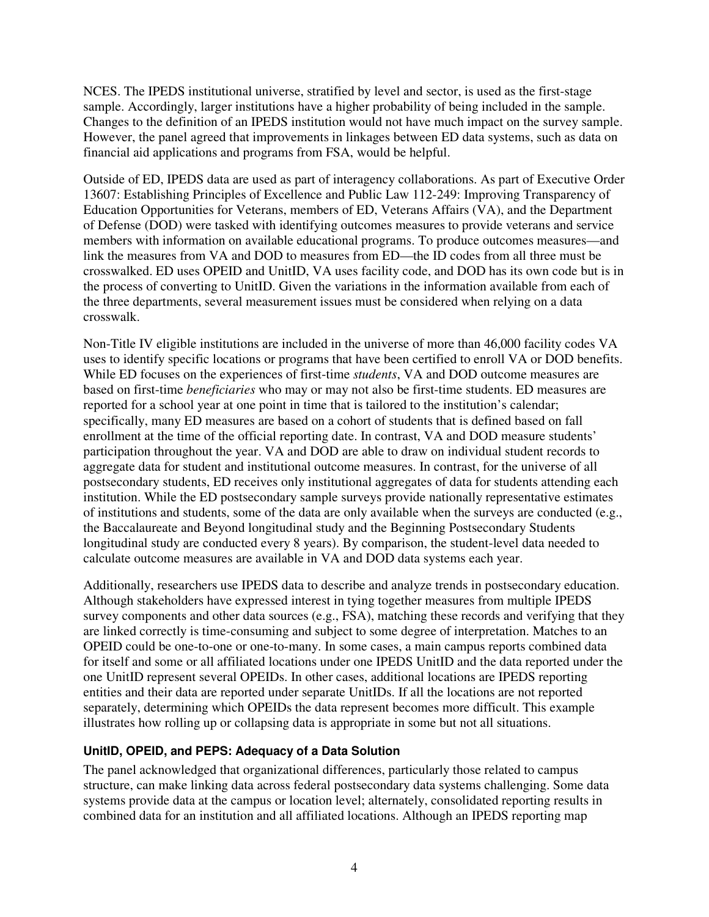NCES. The IPEDS institutional universe, stratified by level and sector, is used as the first-stage sample. Accordingly, larger institutions have a higher probability of being included in the sample. Changes to the definition of an IPEDS institution would not have much impact on the survey sample. However, the panel agreed that improvements in linkages between ED data systems, such as data on financial aid applications and programs from FSA, would be helpful.

Outside of ED, IPEDS data are used as part of interagency collaborations. As part of Executive Order 13607: Establishing Principles of Excellence and Public Law 112-249: Improving Transparency of Education Opportunities for Veterans, members of ED, Veterans Affairs (VA), and the Department of Defense (DOD) were tasked with identifying outcomes measures to provide veterans and service members with information on available educational programs. To produce outcomes measures—and link the measures from VA and DOD to measures from ED—the ID codes from all three must be crosswalked. ED uses OPEID and UnitID, VA uses facility code, and DOD has its own code but is in the process of converting to UnitID. Given the variations in the information available from each of the three departments, several measurement issues must be considered when relying on a data crosswalk.

Non-Title IV eligible institutions are included in the universe of more than 46,000 facility codes VA uses to identify specific locations or programs that have been certified to enroll VA or DOD benefits. While ED focuses on the experiences of first-time *students*, VA and DOD outcome measures are based on first-time *beneficiaries* who may or may not also be first-time students. ED measures are reported for a school year at one point in time that is tailored to the institution's calendar; specifically, many ED measures are based on a cohort of students that is defined based on fall enrollment at the time of the official reporting date. In contrast, VA and DOD measure students' participation throughout the year. VA and DOD are able to draw on individual student records to aggregate data for student and institutional outcome measures. In contrast, for the universe of all postsecondary students, ED receives only institutional aggregates of data for students attending each institution. While the ED postsecondary sample surveys provide nationally representative estimates of institutions and students, some of the data are only available when the surveys are conducted (e.g., the Baccalaureate and Beyond longitudinal study and the Beginning Postsecondary Students longitudinal study are conducted every 8 years). By comparison, the student-level data needed to calculate outcome measures are available in VA and DOD data systems each year.

Additionally, researchers use IPEDS data to describe and analyze trends in postsecondary education. Although stakeholders have expressed interest in tying together measures from multiple IPEDS survey components and other data sources (e.g., FSA), matching these records and verifying that they are linked correctly is time-consuming and subject to some degree of interpretation. Matches to an OPEID could be one-to-one or one-to-many. In some cases, a main campus reports combined data for itself and some or all affiliated locations under one IPEDS UnitID and the data reported under the one UnitID represent several OPEIDs. In other cases, additional locations are IPEDS reporting entities and their data are reported under separate UnitIDs. If all the locations are not reported separately, determining which OPEIDs the data represent becomes more difficult. This example illustrates how rolling up or collapsing data is appropriate in some but not all situations.

## **UnitID, OPEID, and PEPS: Adequacy of a Data Solution**

The panel acknowledged that organizational differences, particularly those related to campus structure, can make linking data across federal postsecondary data systems challenging. Some data systems provide data at the campus or location level; alternately, consolidated reporting results in combined data for an institution and all affiliated locations. Although an IPEDS reporting map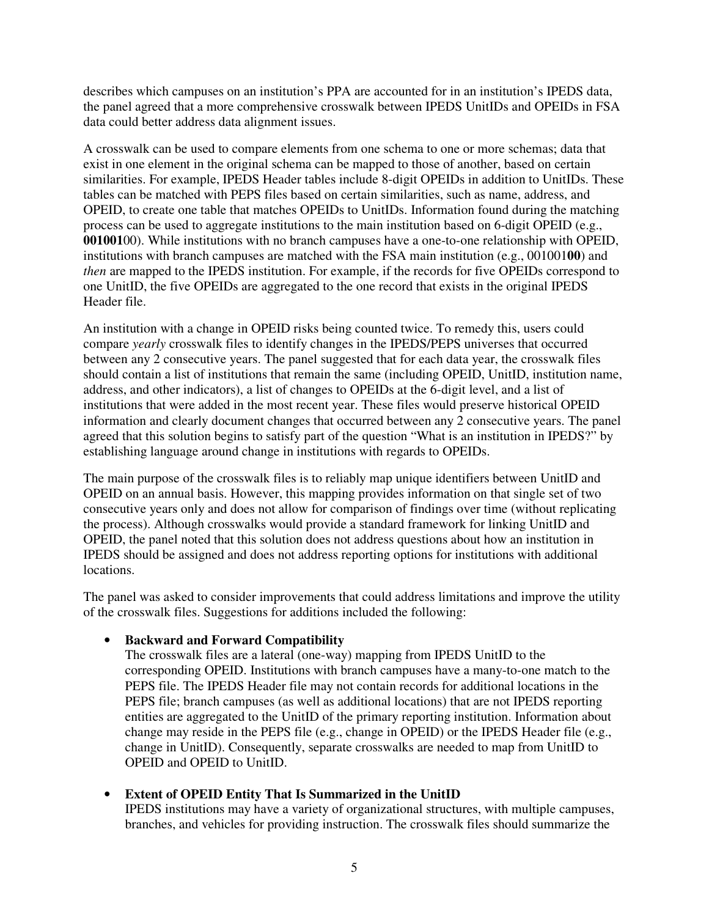describes which campuses on an institution's PPA are accounted for in an institution's IPEDS data, the panel agreed that a more comprehensive crosswalk between IPEDS UnitIDs and OPEIDs in FSA data could better address data alignment issues.

A crosswalk can be used to compare elements from one schema to one or more schemas; data that exist in one element in the original schema can be mapped to those of another, based on certain similarities. For example, IPEDS Header tables include 8-digit OPEIDs in addition to UnitIDs. These tables can be matched with PEPS files based on certain similarities, such as name, address, and OPEID, to create one table that matches OPEIDs to UnitIDs. Information found during the matching process can be used to aggregate institutions to the main institution based on 6-digit OPEID (e.g., **001001**00). While institutions with no branch campuses have a one-to-one relationship with OPEID, institutions with branch campuses are matched with the FSA main institution (e.g., 001001**00**) and *then* are mapped to the IPEDS institution. For example, if the records for five OPEIDs correspond to one UnitID, the five OPEIDs are aggregated to the one record that exists in the original IPEDS Header file.

An institution with a change in OPEID risks being counted twice. To remedy this, users could compare *yearly* crosswalk files to identify changes in the IPEDS/PEPS universes that occurred between any 2 consecutive years. The panel suggested that for each data year, the crosswalk files should contain a list of institutions that remain the same (including OPEID, UnitID, institution name, address, and other indicators), a list of changes to OPEIDs at the 6-digit level, and a list of institutions that were added in the most recent year. These files would preserve historical OPEID information and clearly document changes that occurred between any 2 consecutive years. The panel agreed that this solution begins to satisfy part of the question "What is an institution in IPEDS?" by establishing language around change in institutions with regards to OPEIDs.

The main purpose of the crosswalk files is to reliably map unique identifiers between UnitID and OPEID on an annual basis. However, this mapping provides information on that single set of two consecutive years only and does not allow for comparison of findings over time (without replicating the process). Although crosswalks would provide a standard framework for linking UnitID and OPEID, the panel noted that this solution does not address questions about how an institution in IPEDS should be assigned and does not address reporting options for institutions with additional locations.

The panel was asked to consider improvements that could address limitations and improve the utility of the crosswalk files. Suggestions for additions included the following:

## • **Backward and Forward Compatibility**

The crosswalk files are a lateral (one-way) mapping from IPEDS UnitID to the corresponding OPEID. Institutions with branch campuses have a many-to-one match to the PEPS file. The IPEDS Header file may not contain records for additional locations in the PEPS file; branch campuses (as well as additional locations) that are not IPEDS reporting entities are aggregated to the UnitID of the primary reporting institution. Information about change may reside in the PEPS file (e.g., change in OPEID) or the IPEDS Header file (e.g., change in UnitID). Consequently, separate crosswalks are needed to map from UnitID to OPEID and OPEID to UnitID.

## • **Extent of OPEID Entity That Is Summarized in the UnitID**

IPEDS institutions may have a variety of organizational structures, with multiple campuses, branches, and vehicles for providing instruction. The crosswalk files should summarize the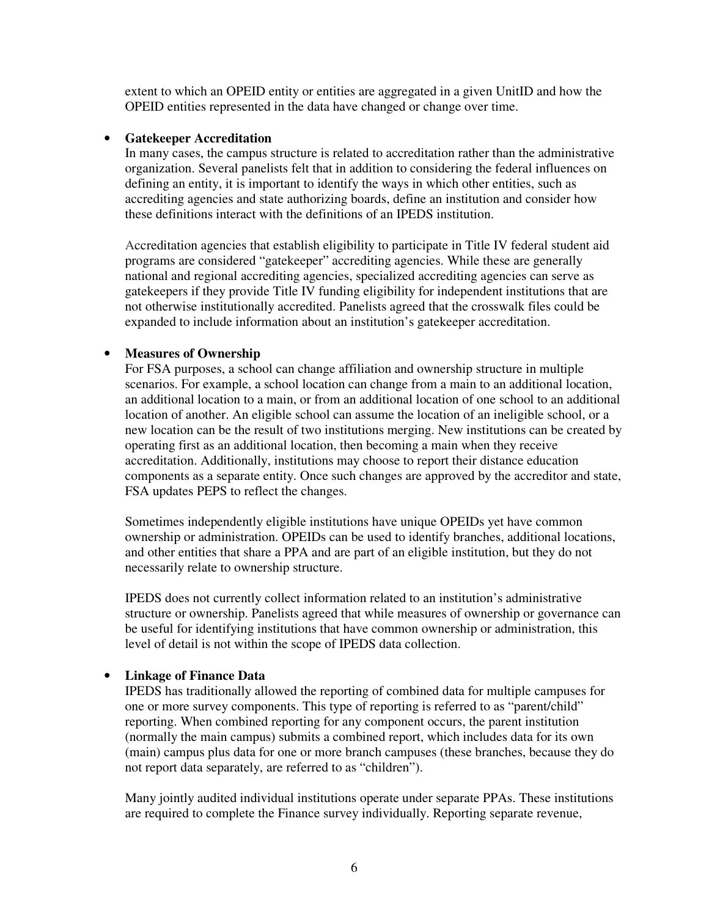extent to which an OPEID entity or entities are aggregated in a given UnitID and how the OPEID entities represented in the data have changed or change over time.

#### • **Gatekeeper Accreditation**

In many cases, the campus structure is related to accreditation rather than the administrative organization. Several panelists felt that in addition to considering the federal influences on defining an entity, it is important to identify the ways in which other entities, such as accrediting agencies and state authorizing boards, define an institution and consider how these definitions interact with the definitions of an IPEDS institution.

Accreditation agencies that establish eligibility to participate in Title IV federal student aid programs are considered "gatekeeper" accrediting agencies. While these are generally national and regional accrediting agencies, specialized accrediting agencies can serve as gatekeepers if they provide Title IV funding eligibility for independent institutions that are not otherwise institutionally accredited. Panelists agreed that the crosswalk files could be expanded to include information about an institution's gatekeeper accreditation.

## • **Measures of Ownership**

For FSA purposes, a school can change affiliation and ownership structure in multiple scenarios. For example, a school location can change from a main to an additional location, an additional location to a main, or from an additional location of one school to an additional location of another. An eligible school can assume the location of an ineligible school, or a new location can be the result of two institutions merging. New institutions can be created by operating first as an additional location, then becoming a main when they receive accreditation. Additionally, institutions may choose to report their distance education components as a separate entity. Once such changes are approved by the accreditor and state, FSA updates PEPS to reflect the changes.

Sometimes independently eligible institutions have unique OPEIDs yet have common ownership or administration. OPEIDs can be used to identify branches, additional locations, and other entities that share a PPA and are part of an eligible institution, but they do not necessarily relate to ownership structure.

IPEDS does not currently collect information related to an institution's administrative structure or ownership. Panelists agreed that while measures of ownership or governance can be useful for identifying institutions that have common ownership or administration, this level of detail is not within the scope of IPEDS data collection.

## • **Linkage of Finance Data**

IPEDS has traditionally allowed the reporting of combined data for multiple campuses for one or more survey components. This type of reporting is referred to as "parent/child" reporting. When combined reporting for any component occurs, the parent institution (normally the main campus) submits a combined report, which includes data for its own (main) campus plus data for one or more branch campuses (these branches, because they do not report data separately, are referred to as "children").

Many jointly audited individual institutions operate under separate PPAs. These institutions are required to complete the Finance survey individually. Reporting separate revenue,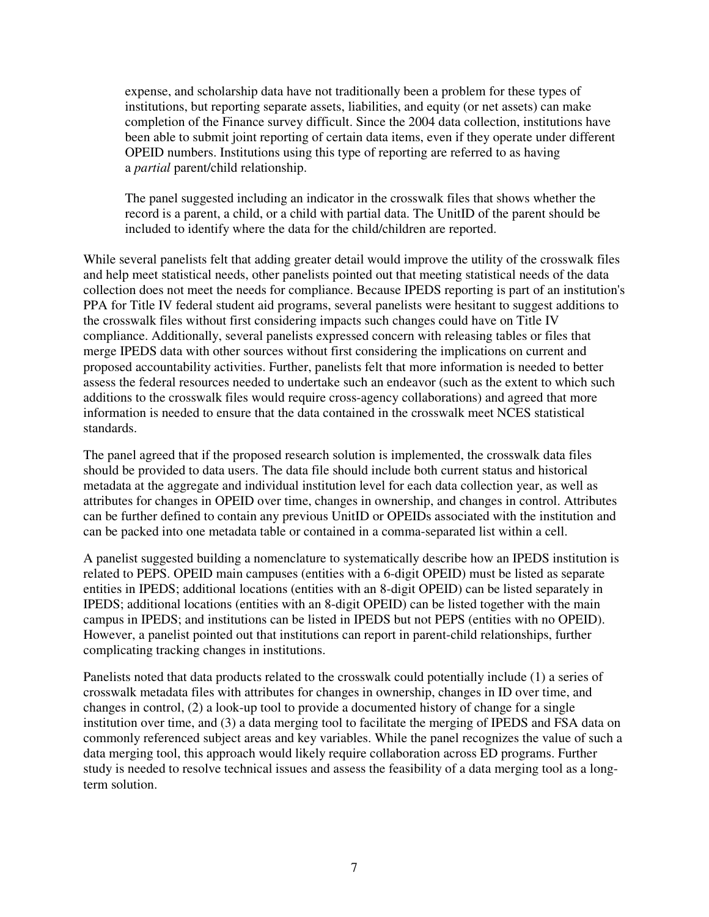expense, and scholarship data have not traditionally been a problem for these types of institutions, but reporting separate assets, liabilities, and equity (or net assets) can make completion of the Finance survey difficult. Since the 2004 data collection, institutions have been able to submit joint reporting of certain data items, even if they operate under different OPEID numbers. Institutions using this type of reporting are referred to as having a *partial* parent/child relationship.

The panel suggested including an indicator in the crosswalk files that shows whether the record is a parent, a child, or a child with partial data. The UnitID of the parent should be included to identify where the data for the child/children are reported.

While several panelists felt that adding greater detail would improve the utility of the crosswalk files and help meet statistical needs, other panelists pointed out that meeting statistical needs of the data collection does not meet the needs for compliance. Because IPEDS reporting is part of an institution's PPA for Title IV federal student aid programs, several panelists were hesitant to suggest additions to the crosswalk files without first considering impacts such changes could have on Title IV compliance. Additionally, several panelists expressed concern with releasing tables or files that merge IPEDS data with other sources without first considering the implications on current and proposed accountability activities. Further, panelists felt that more information is needed to better assess the federal resources needed to undertake such an endeavor (such as the extent to which such additions to the crosswalk files would require cross-agency collaborations) and agreed that more information is needed to ensure that the data contained in the crosswalk meet NCES statistical standards.

The panel agreed that if the proposed research solution is implemented, the crosswalk data files should be provided to data users. The data file should include both current status and historical metadata at the aggregate and individual institution level for each data collection year, as well as attributes for changes in OPEID over time, changes in ownership, and changes in control. Attributes can be further defined to contain any previous UnitID or OPEIDs associated with the institution and can be packed into one metadata table or contained in a comma-separated list within a cell.

A panelist suggested building a nomenclature to systematically describe how an IPEDS institution is related to PEPS. OPEID main campuses (entities with a 6-digit OPEID) must be listed as separate entities in IPEDS; additional locations (entities with an 8-digit OPEID) can be listed separately in IPEDS; additional locations (entities with an 8-digit OPEID) can be listed together with the main campus in IPEDS; and institutions can be listed in IPEDS but not PEPS (entities with no OPEID). However, a panelist pointed out that institutions can report in parent-child relationships, further complicating tracking changes in institutions.

Panelists noted that data products related to the crosswalk could potentially include (1) a series of crosswalk metadata files with attributes for changes in ownership, changes in ID over time, and changes in control, (2) a look-up tool to provide a documented history of change for a single institution over time, and (3) a data merging tool to facilitate the merging of IPEDS and FSA data on commonly referenced subject areas and key variables. While the panel recognizes the value of such a data merging tool, this approach would likely require collaboration across ED programs. Further study is needed to resolve technical issues and assess the feasibility of a data merging tool as a longterm solution.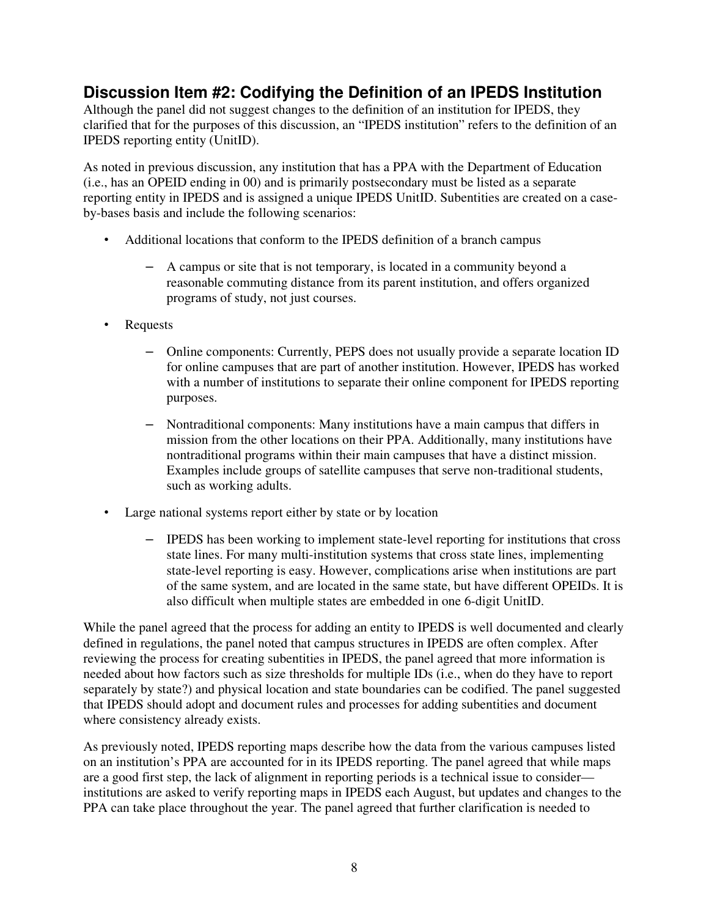## **Discussion Item #2: Codifying the Definition of an IPEDS Institution**

Although the panel did not suggest changes to the definition of an institution for IPEDS, they clarified that for the purposes of this discussion, an "IPEDS institution" refers to the definition of an IPEDS reporting entity (UnitID).

As noted in previous discussion, any institution that has a PPA with the Department of Education (i.e., has an OPEID ending in 00) and is primarily postsecondary must be listed as a separate reporting entity in IPEDS and is assigned a unique IPEDS UnitID. Subentities are created on a caseby-bases basis and include the following scenarios:

- Additional locations that conform to the IPEDS definition of a branch campus
	- A campus or site that is not temporary, is located in a community beyond a reasonable commuting distance from its parent institution, and offers organized programs of study, not just courses.
- Requests
	- Online components: Currently, PEPS does not usually provide a separate location ID for online campuses that are part of another institution. However, IPEDS has worked with a number of institutions to separate their online component for IPEDS reporting purposes.
	- Nontraditional components: Many institutions have a main campus that differs in mission from the other locations on their PPA. Additionally, many institutions have nontraditional programs within their main campuses that have a distinct mission. Examples include groups of satellite campuses that serve non-traditional students, such as working adults.
- Large national systems report either by state or by location
	- IPEDS has been working to implement state-level reporting for institutions that cross state lines. For many multi-institution systems that cross state lines, implementing state-level reporting is easy. However, complications arise when institutions are part of the same system, and are located in the same state, but have different OPEIDs. It is also difficult when multiple states are embedded in one 6-digit UnitID.

While the panel agreed that the process for adding an entity to IPEDS is well documented and clearly defined in regulations, the panel noted that campus structures in IPEDS are often complex. After reviewing the process for creating subentities in IPEDS, the panel agreed that more information is needed about how factors such as size thresholds for multiple IDs (i.e., when do they have to report separately by state?) and physical location and state boundaries can be codified. The panel suggested that IPEDS should adopt and document rules and processes for adding subentities and document where consistency already exists.

As previously noted, IPEDS reporting maps describe how the data from the various campuses listed on an institution's PPA are accounted for in its IPEDS reporting. The panel agreed that while maps are a good first step, the lack of alignment in reporting periods is a technical issue to consider institutions are asked to verify reporting maps in IPEDS each August, but updates and changes to the PPA can take place throughout the year. The panel agreed that further clarification is needed to